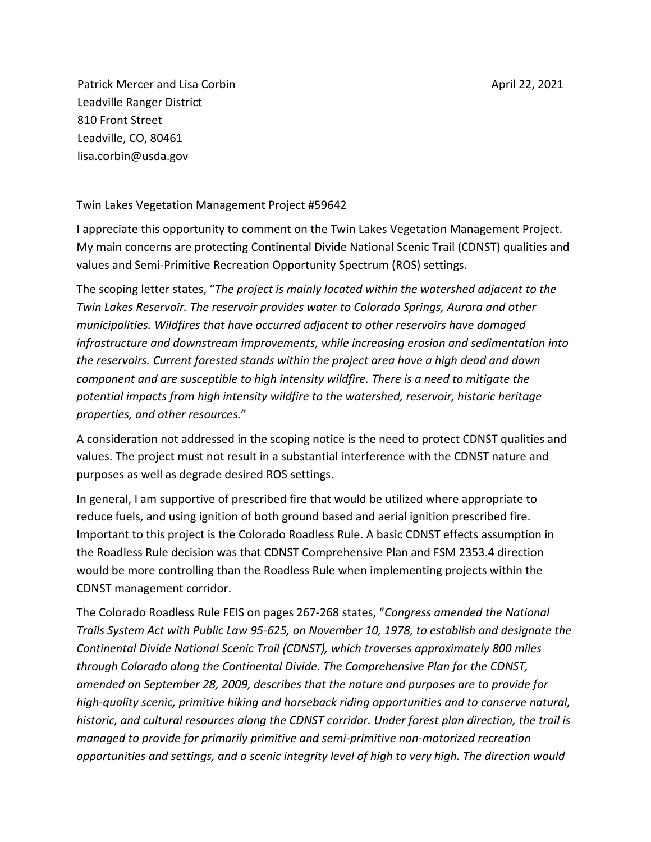Patrick Mercer and Lisa Corbin Leadville Ranger District 810 Front Street Leadville, CO, 80461 lisa.corbin@usda.gov

Twin Lakes Vegetation Management Project #59642

I appreciate this opportunity to comment on the Twin Lakes Vegetation Management Project. My main concerns are protecting Continental Divide National Scenic Trail (CDNST) qualities and values and Semi-Primitive Recreation Opportunity Spectrum (ROS) settings.

The scoping letter states, "*The project is mainly located within the watershed adjacent to the Twin Lakes Reservoir. The reservoir provides water to Colorado Springs, Aurora and other municipalities. Wildfires that have occurred adjacent to other reservoirs have damaged infrastructure and downstream improvements, while increasing erosion and sedimentation into the reservoirs. Current forested stands within the project area have a high dead and down component and are susceptible to high intensity wildfire. There is a need to mitigate the potential impacts from high intensity wildfire to the watershed, reservoir, historic heritage properties, and other resources.*"

A consideration not addressed in the scoping notice is the need to protect CDNST qualities and values. The project must not result in a substantial interference with the CDNST nature and purposes as well as degrade desired ROS settings.

In general, I am supportive of prescribed fire that would be utilized where appropriate to reduce fuels, and using ignition of both ground based and aerial ignition prescribed fire. Important to this project is the Colorado Roadless Rule. A basic CDNST effects assumption in the Roadless Rule decision was that CDNST Comprehensive Plan and FSM 2353.4 direction would be more controlling than the Roadless Rule when implementing projects within the CDNST management corridor.

The Colorado Roadless Rule FEIS on pages 267-268 states, "*Congress amended the National Trails System Act with Public Law 95-625, on November 10, 1978, to establish and designate the Continental Divide National Scenic Trail (CDNST), which traverses approximately 800 miles through Colorado along the Continental Divide. The Comprehensive Plan for the CDNST, amended on September 28, 2009, describes that the nature and purposes are to provide for high-quality scenic, primitive hiking and horseback riding opportunities and to conserve natural, historic, and cultural resources along the CDNST corridor. Under forest plan direction, the trail is managed to provide for primarily primitive and semi-primitive non-motorized recreation opportunities and settings, and a scenic integrity level of high to very high. The direction would*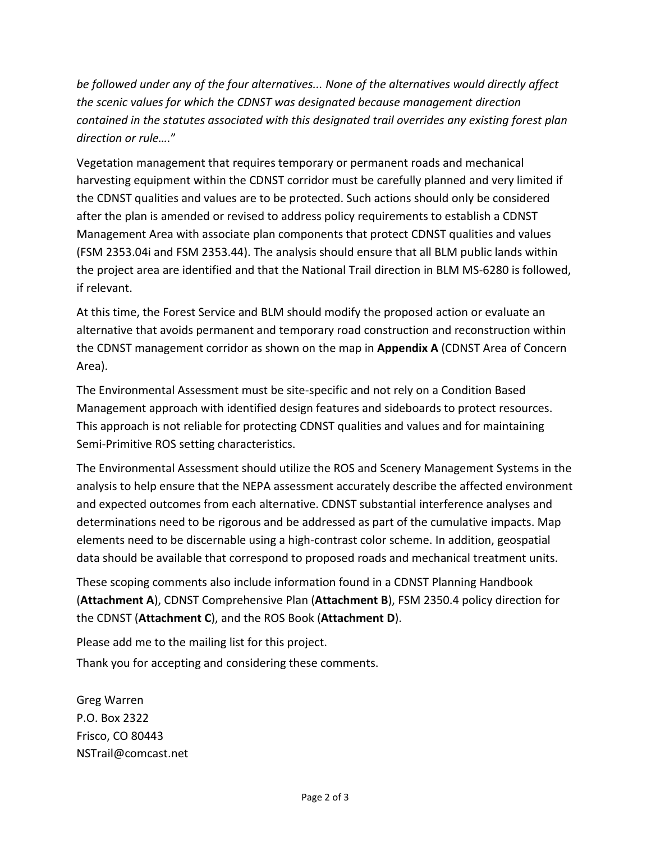*be followed under any of the four alternatives... None of the alternatives would directly affect the scenic values for which the CDNST was designated because management direction contained in the statutes associated with this designated trail overrides any existing forest plan direction or rule….*"

Vegetation management that requires temporary or permanent roads and mechanical harvesting equipment within the CDNST corridor must be carefully planned and very limited if the CDNST qualities and values are to be protected. Such actions should only be considered after the plan is amended or revised to address policy requirements to establish a CDNST Management Area with associate plan components that protect CDNST qualities and values (FSM 2353.04i and FSM 2353.44). The analysis should ensure that all BLM public lands within the project area are identified and that the National Trail direction in BLM MS-6280 is followed, if relevant.

At this time, the Forest Service and BLM should modify the proposed action or evaluate an alternative that avoids permanent and temporary road construction and reconstruction within the CDNST management corridor as shown on the map in **Appendix A** (CDNST Area of Concern Area).

The Environmental Assessment must be site-specific and not rely on a Condition Based Management approach with identified design features and sideboards to protect resources. This approach is not reliable for protecting CDNST qualities and values and for maintaining Semi-Primitive ROS setting characteristics.

The Environmental Assessment should utilize the ROS and Scenery Management Systems in the analysis to help ensure that the NEPA assessment accurately describe the affected environment and expected outcomes from each alternative. CDNST substantial interference analyses and determinations need to be rigorous and be addressed as part of the cumulative impacts. Map elements need to be discernable using a high-contrast color scheme. In addition, geospatial data should be available that correspond to proposed roads and mechanical treatment units.

These scoping comments also include information found in a CDNST Planning Handbook (**Attachment A**), CDNST Comprehensive Plan (**Attachment B**), FSM 2350.4 policy direction for the CDNST (**Attachment C**), and the ROS Book (**Attachment D**).

Please add me to the mailing list for this project. Thank you for accepting and considering these comments.

Greg Warren P.O. Box 2322 Frisco, CO 80443 NSTrail@comcast.net